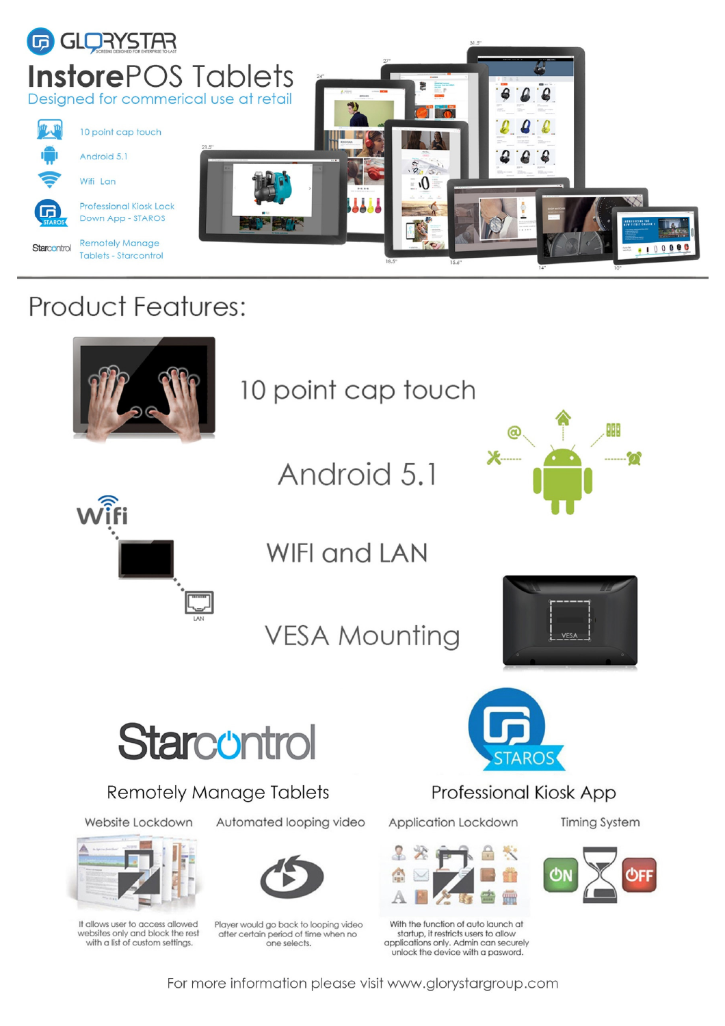

## **Product Features:**



10 point cap touch

Android 5.1





**WIFI and LAN** 

**VESA Mounting** 





**Remotely Manage Tablets** 

Website Lockdown



It allows user to access allowed websites only and block the rest with a list of custom settings.

Automated looping video



Player would go back to looping video after certain period of time when no one selects.



**Professional Kiosk App** 

Application Lockdown

æ

With the function of auto launch at startup, it restricts users to allow applications only. Admin can securely unlock the device with a pasword.



**Timing System** 

For more information please visit www.glorystargroup.com